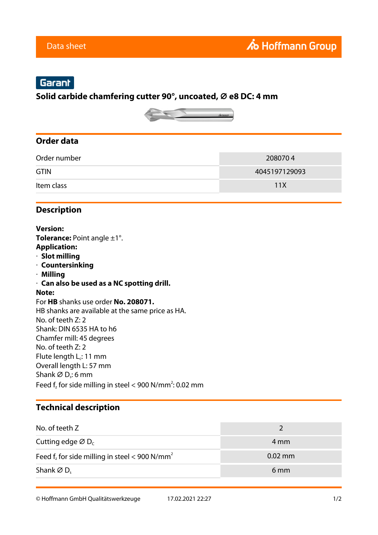# Garant

#### **Solid carbide chamfering cutter 90°, uncoated, ⌀ e8 DC: 4 mm**



#### **Order data**

| Order number | 2080704       |
|--------------|---------------|
| <b>GTIN</b>  | 4045197129093 |
| Item class   | 11X           |

### **Description**

**Version: Tolerance:** Point angle ±1°. **Application:** · **Slot milling** · **Countersinking** · **Milling** · **Can also be used as a NC spotting drill. Note:** For **HB** shanks use order **No. 208071.** HB shanks are available at the same price as HA. No. of teeth Z: 2 Shank: DIN 6535 HA to h6 Chamfer mill: 45 degrees No. of teeth Z: 2 Flute length  $L_c$ : 11 mm Overall length L: 57 mm Shank  $\varnothing$  D<sub>s</sub>: 6 mm Feed  $f_z$  for side milling in steel < 900 N/mm<sup>2</sup>: 0.02 mm

## **Technical description**

| No. of teeth Z                                               |                   |
|--------------------------------------------------------------|-------------------|
| Cutting edge $\varnothing$ D <sub>c</sub>                    | 4 mm              |
| Feed $f_z$ for side milling in steel < 900 N/mm <sup>2</sup> | $0.02 \text{ mm}$ |
| Shank $\varnothing$ D <sub>s</sub>                           | 6 <sub>mm</sub>   |

© Hoffmann GmbH Qualitätswerkzeuge 17.02.2021 22:27 1/2